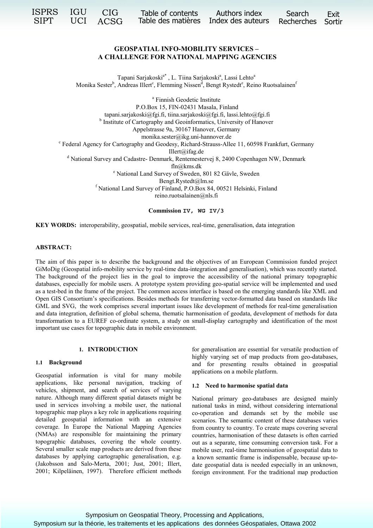| ISPRS IGU CIG |  | SIPT UCI ACSG | Table of contents Authors index<br>Table des matières Index des auteurs Recherches Sortir |  | Search | Exit |
|---------------|--|---------------|-------------------------------------------------------------------------------------------|--|--------|------|
|---------------|--|---------------|-------------------------------------------------------------------------------------------|--|--------|------|

# **GEOSPATIAL INFO-MOBILITY SERVICES – A CHALLENGE FOR NATIONAL MAPPING AGENCIES**

Tapani Sarjakoski<sup>a\*</sup>, L. Tiina Sarjakoski<sup>a</sup>, Lassi Lehto<sup>a</sup> Monika Sester<sup>b</sup>, Andreas Illert<sup>e</sup>, Flemming Nissen<sup>d</sup>, Bengt Rystedt<sup>e</sup>, Reino Ruotsalainen<sup>f</sup>

a Finnish Geodetic Institute P.O.Box 15, FIN-02431 Masala, Finland tapani.sarjakoski@fgi.fi, tiina.sarjakoski@fgi.fi, lassi.lehto@fgi.fi <sup>b</sup> Institute of Cartography and Geoinformatics, University of Hanover Appelstrasse 9a, 30167 Hanover, Germany monika.sester@ikg.uni-hannover.de<br>Federal Agency for Cartography and Geodesy, Richard-Strauss-Allee 11, 60598 Frankfurt, Germany Illert@ifag.de <sup>d</sup> National Survey and Cadastre- Denmark, Rentemestervej 8, 2400 Copenhagen NW, Denmark fln@kms.dk<br>
<sup>e</sup> National Land Survey of Sweden, 801 82 Gävle, Sweden<sup>e</sup> Bengt.Rystedt@lm.se<br><sup>f</sup> National Land Survey of Finland, P.O.Box 84, 00521 Helsinki, Finland reino.ruotsalainen@nls.fi

**Commission IV, WG IV/3**

**KEY WORDS:** interoperability, geospatial, mobile services, real-time, generalisation, data integration

## **ABSTRACT:**

The aim of this paper is to describe the background and the objectives of an European Commission funded project GiMoDig (Geospatial info-mobility service by real-time data-integration and generalisation), which was recently started. The background of the project lies in the goal to improve the accessibility of the national primary topographic databases, especially for mobile users. A prototype system providing geo-spatial service will be implemented and used as a test-bed in the frame of the project. The common access interface is based on the emerging standards like XML and Open GIS Consortium's specifications. Besides methods for transferring vector-formatted data based on standards like GML and SVG, the work comprises several important issues like development of methods for real-time generalisation and data integration, definition of global schema, thematic harmonisation of geodata, development of methods for data transformation to a EUREF co-ordinate system, a study on small-display cartography and identification of the most important use cases for topographic data in mobile environment.

# **1. INTRODUCTION**

#### **1.1 Background**

Geospatial information is vital for many mobile applications, like personal navigation, tracking of vehicles, shipment, and search of services of varying nature. Although many different spatial datasets might be used in services involving a mobile user, the national topographic map plays a key role in applications requiring detailed geospatial information with an extensive coverage. In Europe the National Mapping Agencies (NMAs) are responsible for maintaining the primary topographic databases, covering the whole country. Several smaller scale map products are derived from these databases by applying cartographic generalisation, e.g. (Jakobsson and Salo-Merta, 2001; Just, 2001; Illert, 2001; Kilpeläinen, 1997). Therefore efficient methods for generalisation are essential for versatile production of highly varying set of map products from geo-databases, and for presenting results obtained in geospatial applications on a mobile platform.

#### **1.2 Need to harmonise spatial data**

National primary geo-databases are designed mainly national tasks in mind, without considering international co-operation and demands set by the mobile use scenarios. The semantic content of these databases varies from country to country. To create maps covering several countries, harmonisation of these datasets is often carried out as a separate, time consuming conversion task. For a mobile user, real-time harmonisation of geospatial data to a known semantic frame is indispensable, because up-todate geospatial data is needed especially in an unknown, foreign environment. For the traditional map production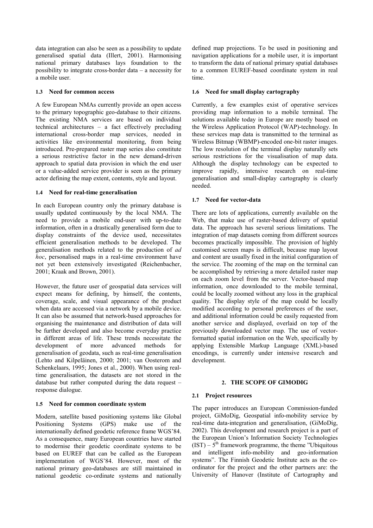data integration can also be seen as a possibility to update generalised spatial data (Illert, 2001). Harmonising national primary databases lays foundation to the possibility to integrate cross-border data – a necessity for a mobile user.

## **1.3 Need for common access**

A few European NMAs currently provide an open access to the primary topographic geo-database to their citizens. The existing NMA services are based on individual technical architectures – a fact effectively precluding international cross-border map services, needed in activities like environmental monitoring, from being introduced. Pre-prepared raster map series also constitute a serious restrictive factor in the new demand-driven approach to spatial data provision in which the end user or a value-added service provider is seen as the primary actor defining the map extent, contents, style and layout.

## **1.4 Need for real-time generalisation**

In each European country only the primary database is usually updated continuously by the local NMA. The need to provide a mobile end-user with up-to-date information, often in a drastically generalised form due to display constraints of the device used, necessitates efficient generalisation methods to be developed. The generalisation methods related to the production of *ad hoc*, personalised maps in a real-time environment have not yet been extensively investigated (Reichenbacher, 2001; Kraak and Brown, 2001).

However, the future user of geospatial data services will expect means for defining, by himself, the contents, coverage, scale, and visual appearance of the product when data are accessed via a network by a mobile device. It can also be assumed that network-based approaches for organising the maintenance and distribution of data will be further developed and also become everyday practice in different areas of life. These trends necessitate the development of more advanced methods for generalisation of geodata, such as real-time generalisation (Lehto and Kilpeläinen, 2000; 2001; van Oosterom and Schenkelaars, 1995; Jones et al., 2000). When using realtime generalisation, the datasets are not stored in the database but rather computed during the data request – response dialogue.

#### **1.5 Need for common coordinate system**

Modern, satellite based positioning systems like Global Positioning Systems (GPS) make use of the internationally defined geodetic reference frame WGS'84. As a consequence, many European countries have started to modernise their geodetic coordinate systems to be based on EUREF that can be called as the European implementation of WGS'84. However, most of the national primary geo-databases are still maintained in national geodetic co-ordinate systems and nationally

defined map projections. To be used in positioning and navigation applications for a mobile user, it is important to transform the data of national primary spatial databases to a common EUREF-based coordinate system in real time.

## **1.6 Need for small display cartography**

Currently, a few examples exist of operative services providing map information to a mobile terminal. The solutions available today in Europe are mostly based on the Wireless Application Protocol (WAP)-technology. In these services map data is transmitted to the terminal as Wireless Bitmap (WBMP)-encoded one-bit raster images. The low resolution of the terminal display naturally sets serious restrictions for the visualisation of map data. Although the display technology can be expected to improve rapidly, intensive research on real-time generalisation and small-display cartography is clearly needed.

## **1.7 Need for vector-data**

There are lots of applications, currently available on the Web, that make use of raster-based delivery of spatial data. The approach has several serious limitations. The integration of map datasets coming from different sources becomes practically impossible. The provision of highly customised screen maps is difficult, because map layout and content are usually fixed in the initial configuration of the service. The zooming of the map on the terminal can be accomplished by retrieving a more detailed raster map on each zoom level from the server. Vector-based map information, once downloaded to the mobile terminal, could be locally zoomed without any loss in the graphical quality. The display style of the map could be locally modified according to personal preferences of the user, and additional information could be easily requested from another service and displayed, overlaid on top of the previously downloaded vector map. The use of vectorformatted spatial information on the Web, specifically by applying Extensible Markup Language (XML)-based encodings, is currently under intensive research and development.

## **2. THE SCOPE OF GIMODIG**

#### **2.1 Project resources**

The paper introduces an European Commission-funded project, GiMoDig, Geospatial info-mobility service by real-time data-integration and generalisation, (GiMoDig, 2002). This development and research project is a part of the European Union's Information Society Technologies  $(IST) - 5<sup>th</sup>$  framework programme, the theme "Ubiquitous" and intelligent info-mobility and geo-information systems". The Finnish Geodetic Institute acts as the coordinator for the project and the other partners are: the University of Hanover (Institute of Cartography and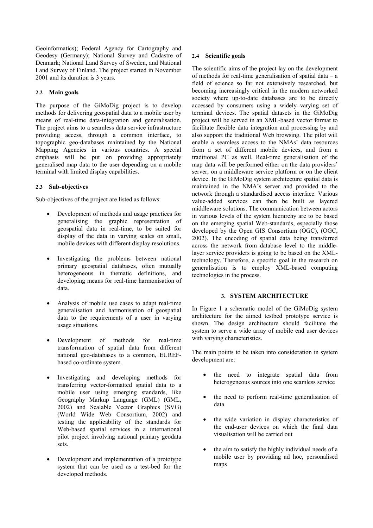Geoinformatics); Federal Agency for Cartography and Geodesy (Germany); National Survey and Cadastre of Denmark; National Land Survey of Sweden, and National Land Survey of Finland. The project started in November 2001 and its duration is 3 years.

## **2.2 Main goals**

The purpose of the GiMoDig project is to develop methods for delivering geospatial data to a mobile user by means of real-time data-integration and generalisation. The project aims to a seamless data service infrastructure providing access, through a common interface, to topographic geo-databases maintained by the National Mapping Agencies in various countries. A special emphasis will be put on providing appropriately generalised map data to the user depending on a mobile terminal with limited display capabilities.

#### **2.3 Sub-objectives**

Sub-objectives of the project are listed as follows:

- Development of methods and usage practices for generalising the graphic representation of geospatial data in real-time, to be suited for display of the data in varying scales on small, mobile devices with different display resolutions.
- Investigating the problems between national primary geospatial databases, often mutually heterogeneous in thematic definitions, and developing means for real-time harmonisation of data.
- Analysis of mobile use cases to adapt real-time generalisation and harmonisation of geospatial data to the requirements of a user in varying usage situations.
- Development of methods for real-time transformation of spatial data from different national geo-databases to a common, EUREFbased co-ordinate system.
- Investigating and developing methods for transferring vector-formatted spatial data to a mobile user using emerging standards, like Geography Markup Language (GML) (GML, 2002) and Scalable Vector Graphics (SVG) (World Wide Web Consortium, 2002) and testing the applicability of the standards for Web-based spatial services in a international pilot project involving national primary geodata sets.
- Development and implementation of a prototype system that can be used as a test-bed for the developed methods.

### **2.4 Scientific goals**

The scientific aims of the project lay on the development of methods for real-time generalisation of spatial data – a field of science so far not extensively researched, but becoming increasingly critical in the modern networked society where up-to-date databases are to be directly accessed by consumers using a widely varying set of terminal devices. The spatial datasets in the GiMoDig project will be served in an XML-based vector format to facilitate flexible data integration and processing by and also support the traditional Web browsing. The pilot will enable a seamless access to the NMAs' data resources from a set of different mobile devices, and from a traditional PC as well. Real-time generalisation of the map data will be performed either on the data providers' server, on a middleware service platform or on the client device. In the GiMoDig system architecture spatial data is maintained in the NMA's server and provided to the network through a standardised access interface. Various value-added services can then be built as layered middleware solutions. The communication between actors in various levels of the system hierarchy are to be based on the emerging spatial Web-standards, especially those developed by the Open GIS Consortium (OGC), (OGC, 2002). The encoding of spatial data being transferred across the network from database level to the middlelayer service providers is going to be based on the XMLtechnology. Therefore, a specific goal in the research on generalisation is to employ XML-based computing technologies in the process.

#### **3. SYSTEM ARCHITECTURE**

In Figure 1 a schematic model of the GiMoDig system architecture for the aimed testbed prototype service is shown. The design architecture should facilitate the system to serve a wide array of mobile end user devices with varying characteristics.

The main points to be taken into consideration in system development are:

- the need to integrate spatial data from heterogeneous sources into one seamless service
- the need to perform real-time generalisation of data
- the wide variation in display characteristics of the end-user devices on which the final data visualisation will be carried out
- the aim to satisfy the highly individual needs of a mobile user by providing ad hoc, personalised maps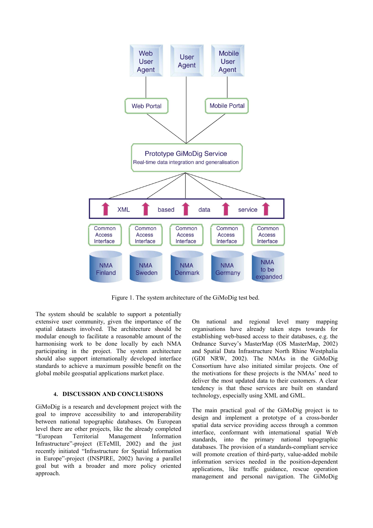

Figure 1. The system architecture of the GiMoDig test bed.

The system should be scalable to support a potentially extensive user community, given the importance of the spatial datasets involved. The architecture should be modular enough to facilitate a reasonable amount of the harmonising work to be done locally by each NMA participating in the project. The system architecture should also support internationally developed interface standards to achieve a maximum possible benefit on the global mobile geospatial applications market place.

### **4. DISCUSSION AND CONCLUSIONS**

GiMoDig is a research and development project with the goal to improve accessibility to and interoperability between national topographic databases. On European level there are other projects, like the already completed "European Territorial Management Information Infrastructure"-project (ETeMII, 2002) and the just recently initiated "Infrastructure for Spatial Information in Europe"-project (INSPIRE, 2002) having a parallel goal but with a broader and more policy oriented approach.

On national and regional level many mapping organisations have already taken steps towards for establishing web-based access to their databases, e.g. the Ordnance Survey's MasterMap (OS MasterMap, 2002) and Spatial Data Infrastructure North Rhine Westphalia (GDI NRW, 2002). The NMAs in the GiMoDig Consortium have also initiated similar projects. One of the motivations for these projects is the NMAs' need to deliver the most updated data to their customers. A clear tendency is that these services are built on standard technology, especially using XML and GML.

The main practical goal of the GiMoDig project is to design and implement a prototype of a cross-border spatial data service providing access through a common interface, conformant with international spatial Web standards, into the primary national topographic databases. The provision of a standards-compliant service will promote creation of third-party, value-added mobile information services needed in the position-dependent applications, like traffic guidance, rescue operation management and personal navigation. The GiMoDig